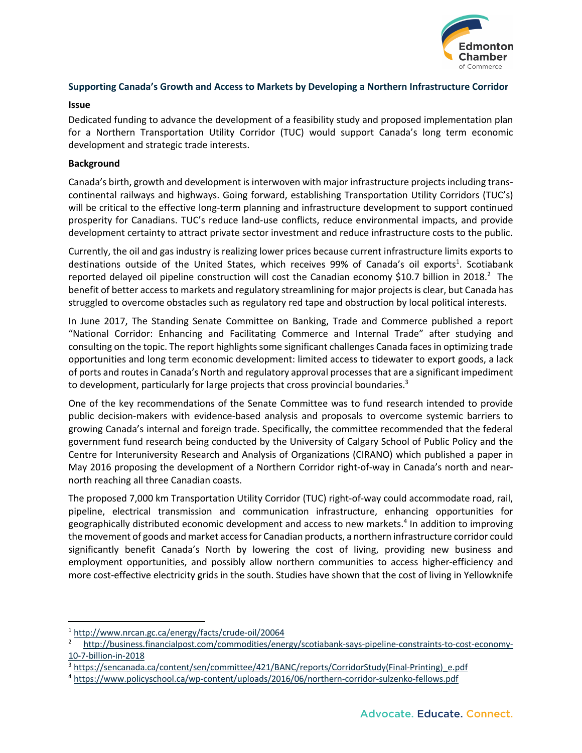

## **Supporting Canada's Growth and Access to Markets by Developing a Northern Infrastructure Corridor**

## **Issue**

Dedicated funding to advance the development of a feasibility study and proposed implementation plan for a Northern Transportation Utility Corridor (TUC) would support Canada's long term economic development and strategic trade interests.

## **Background**

Canada's birth, growth and development is interwoven with major infrastructure projects including transcontinental railways and highways. Going forward, establishing Transportation Utility Corridors (TUC's) will be critical to the effective long-term planning and infrastructure development to support continued prosperity for Canadians. TUC's reduce land-use conflicts, reduce environmental impacts, and provide development certainty to attract private sector investment and reduce infrastructure costs to the public.

Currently, the oil and gas industry is realizing lower prices because current infrastructure limits exports to destinations outside of the United States, which receives 99% of Canada's oil exports<sup>1</sup>. Scotiabank reported delayed oil pipeline construction will cost the Canadian economy \$10.7 billion in 2018.<sup>2</sup> The benefit of better access to markets and regulatory streamlining for major projects is clear, but Canada has struggled to overcome obstacles such as regulatory red tape and obstruction by local political interests.

In June 2017, The Standing Senate Committee on Banking, Trade and Commerce published a report "National Corridor: Enhancing and Facilitating Commerce and Internal Trade" after studying and consulting on the topic. The report highlights some significant challenges Canada faces in optimizing trade opportunities and long term economic development: limited access to tidewater to export goods, a lack of ports and routes in Canada's North and regulatory approval processes that are a significant impediment to development, particularly for large projects that cross provincial boundaries.<sup>3</sup>

One of the key recommendations of the Senate Committee was to fund research intended to provide public decision-makers with evidence-based analysis and proposals to overcome systemic barriers to growing Canada's internal and foreign trade. Specifically, the committee recommended that the federal government fund research being conducted by the University of Calgary School of Public Policy and the Centre for Interuniversity Research and Analysis of Organizations (CIRANO) which published a paper in May 2016 proposing the development of a Northern Corridor right-of-way in Canada's north and nearnorth reaching all three Canadian coasts.

The proposed 7,000 km Transportation Utility Corridor (TUC) right-of-way could accommodate road, rail, pipeline, electrical transmission and communication infrastructure, enhancing opportunities for geographically distributed economic development and access to new markets.4 In addition to improving the movement of goods and market access for Canadian products, a northern infrastructure corridor could significantly benefit Canada's North by lowering the cost of living, providing new business and employment opportunities, and possibly allow northern communities to access higher-efficiency and more cost-effective electricity grids in the south. Studies have shown that the cost of living in Yellowknife

 <sup>1</sup> http://www.nrcan.gc.ca/energy/facts/crude-oil/20064

<sup>2</sup> http://business.financialpost.com/commodities/energy/scotiabank-says-pipeline-constraints-to-cost-economy-10-7-billion-in-2018

<sup>3</sup> https://sencanada.ca/content/sen/committee/421/BANC/reports/CorridorStudy(Final-Printing) e.pdf

<sup>4</sup> https://www.policyschool.ca/wp-content/uploads/2016/06/northern-corridor-sulzenko-fellows.pdf